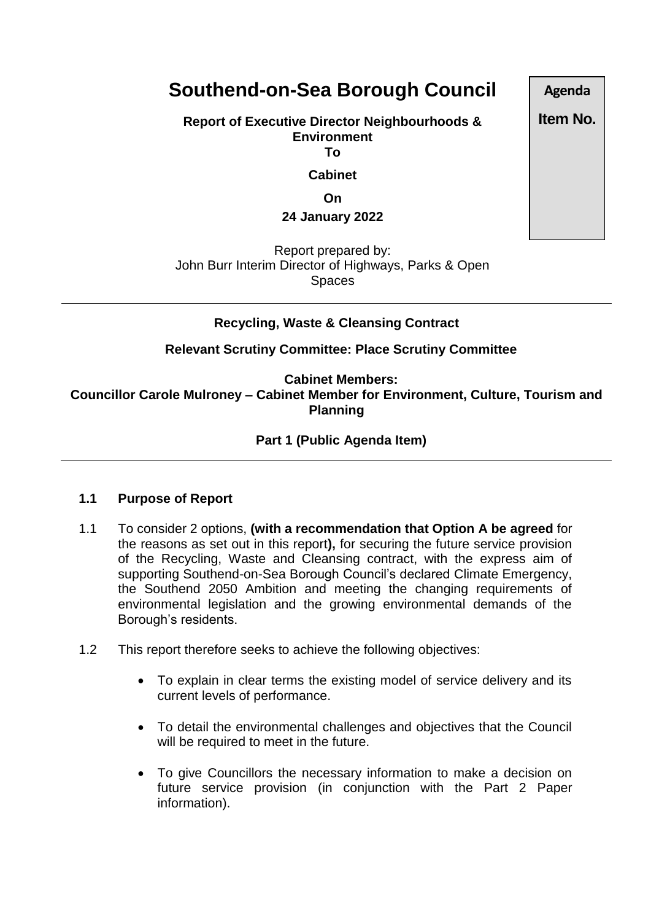# **Southend-on-Sea Borough Council**

**Report of Executive Director Neighbourhoods & Environment To**

**Cabinet**

**On**

**24 January 2022**

Report prepared by: John Burr Interim Director of Highways, Parks & Open Spaces

## **Recycling, Waste & Cleansing Contract**

**Relevant Scrutiny Committee: Place Scrutiny Committee**

**Cabinet Members: Councillor Carole Mulroney – Cabinet Member for Environment, Culture, Tourism and Planning**

## **Part 1 (Public Agenda Item)**

#### **1.1 Purpose of Report**

- 1.1 To consider 2 options, **(with a recommendation that Option A be agreed** for the reasons as set out in this report**),** for securing the future service provision of the Recycling, Waste and Cleansing contract, with the express aim of supporting Southend-on-Sea Borough Council's declared Climate Emergency, the Southend 2050 Ambition and meeting the changing requirements of environmental legislation and the growing environmental demands of the Borough's residents.
- 1.2 This report therefore seeks to achieve the following objectives:
	- To explain in clear terms the existing model of service delivery and its current levels of performance.
	- To detail the environmental challenges and objectives that the Council will be required to meet in the future.
	- To give Councillors the necessary information to make a decision on future service provision (in conjunction with the Part 2 Paper information).

**Agenda**

**Item No.**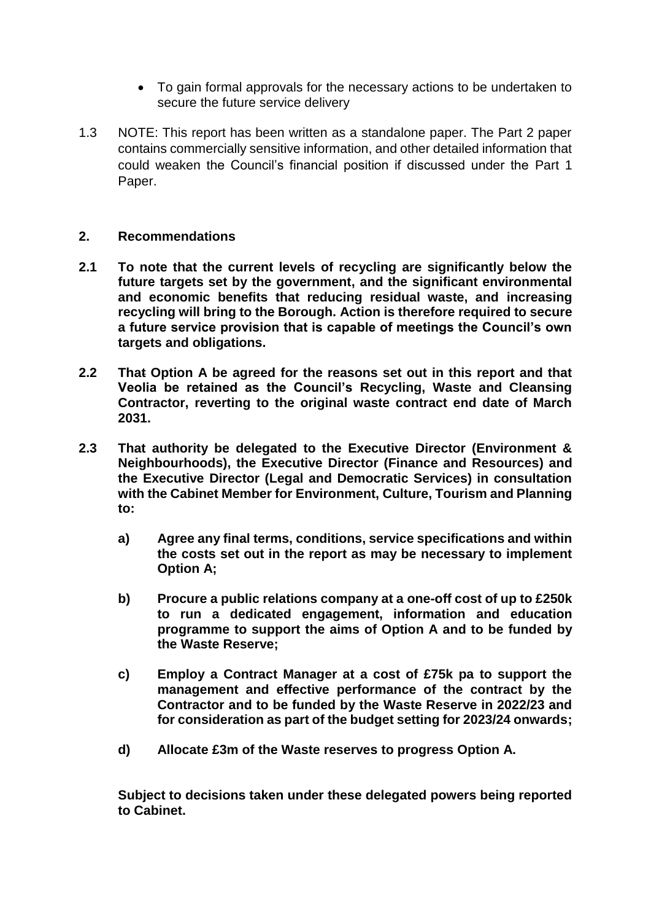- To gain formal approvals for the necessary actions to be undertaken to secure the future service delivery
- 1.3 NOTE: This report has been written as a standalone paper. The Part 2 paper contains commercially sensitive information, and other detailed information that could weaken the Council's financial position if discussed under the Part 1 Paper.

#### **2. Recommendations**

- **2.1 To note that the current levels of recycling are significantly below the future targets set by the government, and the significant environmental and economic benefits that reducing residual waste, and increasing recycling will bring to the Borough. Action is therefore required to secure a future service provision that is capable of meetings the Council's own targets and obligations.**
- **2.2 That Option A be agreed for the reasons set out in this report and that Veolia be retained as the Council's Recycling, Waste and Cleansing Contractor, reverting to the original waste contract end date of March 2031.**
- **2.3 That authority be delegated to the Executive Director (Environment & Neighbourhoods), the Executive Director (Finance and Resources) and the Executive Director (Legal and Democratic Services) in consultation with the Cabinet Member for Environment, Culture, Tourism and Planning to:**
	- **a) Agree any final terms, conditions, service specifications and within the costs set out in the report as may be necessary to implement Option A;**
	- **b) Procure a public relations company at a one-off cost of up to £250k to run a dedicated engagement, information and education programme to support the aims of Option A and to be funded by the Waste Reserve;**
	- **c) Employ a Contract Manager at a cost of £75k pa to support the management and effective performance of the contract by the Contractor and to be funded by the Waste Reserve in 2022/23 and for consideration as part of the budget setting for 2023/24 onwards;**
	- **d) Allocate £3m of the Waste reserves to progress Option A.**

**Subject to decisions taken under these delegated powers being reported to Cabinet.**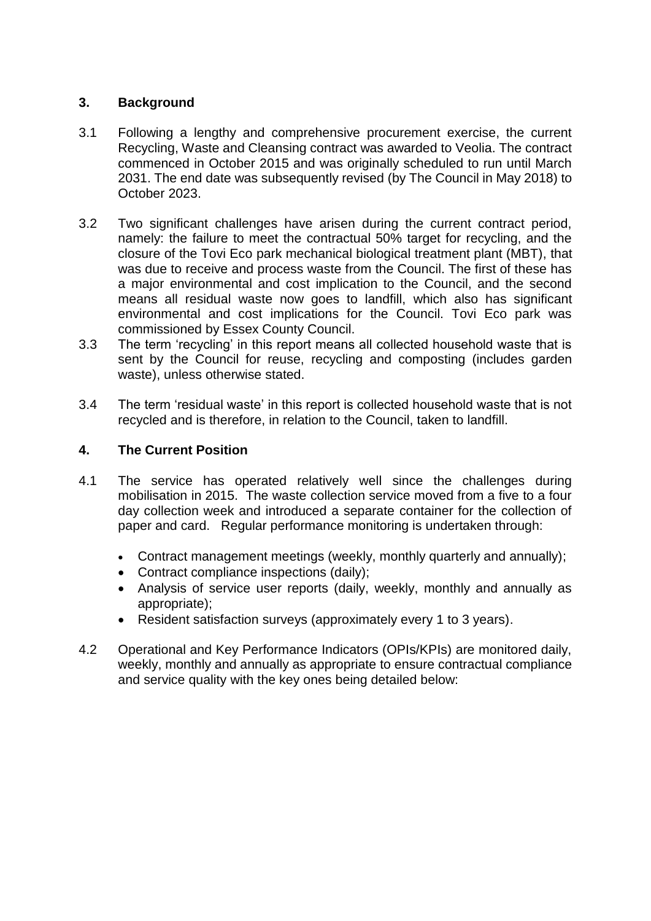# **3. Background**

- 3.1 Following a lengthy and comprehensive procurement exercise, the current Recycling, Waste and Cleansing contract was awarded to Veolia. The contract commenced in October 2015 and was originally scheduled to run until March 2031. The end date was subsequently revised (by The Council in May 2018) to October 2023.
- 3.2 Two significant challenges have arisen during the current contract period, namely: the failure to meet the contractual 50% target for recycling, and the closure of the Tovi Eco park mechanical biological treatment plant (MBT), that was due to receive and process waste from the Council. The first of these has a major environmental and cost implication to the Council, and the second means all residual waste now goes to landfill, which also has significant environmental and cost implications for the Council. Tovi Eco park was commissioned by Essex County Council.
- 3.3 The term 'recycling' in this report means all collected household waste that is sent by the Council for reuse, recycling and composting (includes garden waste), unless otherwise stated.
- 3.4 The term 'residual waste' in this report is collected household waste that is not recycled and is therefore, in relation to the Council, taken to landfill.

## **4. The Current Position**

- 4.1 The service has operated relatively well since the challenges during mobilisation in 2015. The waste collection service moved from a five to a four day collection week and introduced a separate container for the collection of paper and card. Regular performance monitoring is undertaken through:
	- Contract management meetings (weekly, monthly quarterly and annually);
	- Contract compliance inspections (daily):
	- Analysis of service user reports (daily, weekly, monthly and annually as appropriate);
	- Resident satisfaction surveys (approximately every 1 to 3 years).
- 4.2 Operational and Key Performance Indicators (OPIs/KPIs) are monitored daily, weekly, monthly and annually as appropriate to ensure contractual compliance and service quality with the key ones being detailed below: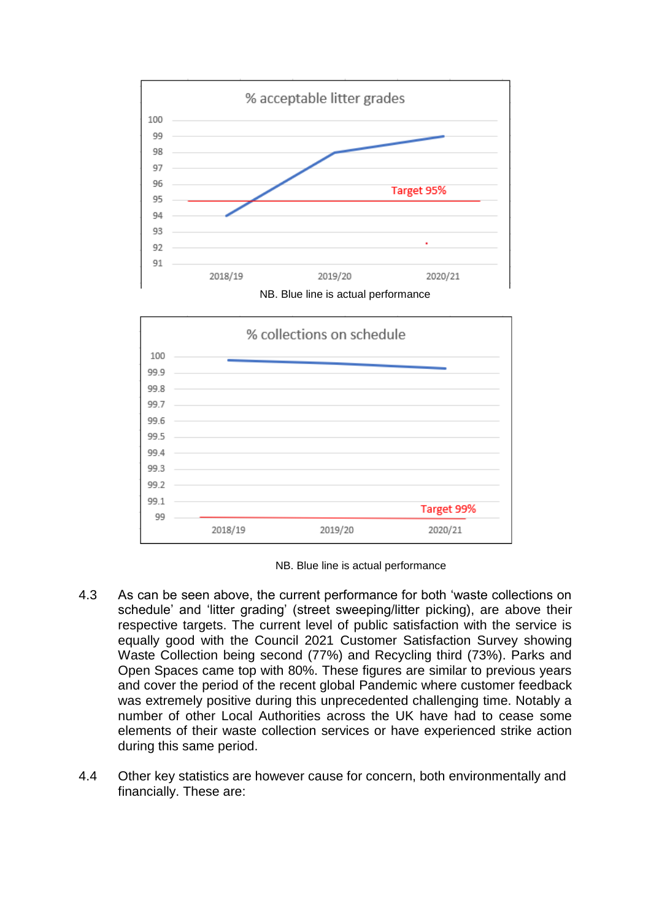



NB. Blue line is actual performance

- 4.3 As can be seen above, the current performance for both 'waste collections on schedule' and 'litter grading' (street sweeping/litter picking), are above their respective targets. The current level of public satisfaction with the service is equally good with the Council 2021 Customer Satisfaction Survey showing Waste Collection being second (77%) and Recycling third (73%). Parks and Open Spaces came top with 80%. These figures are similar to previous years and cover the period of the recent global Pandemic where customer feedback was extremely positive during this unprecedented challenging time. Notably a number of other Local Authorities across the UK have had to cease some elements of their waste collection services or have experienced strike action during this same period.
- 4.4 Other key statistics are however cause for concern, both environmentally and financially. These are: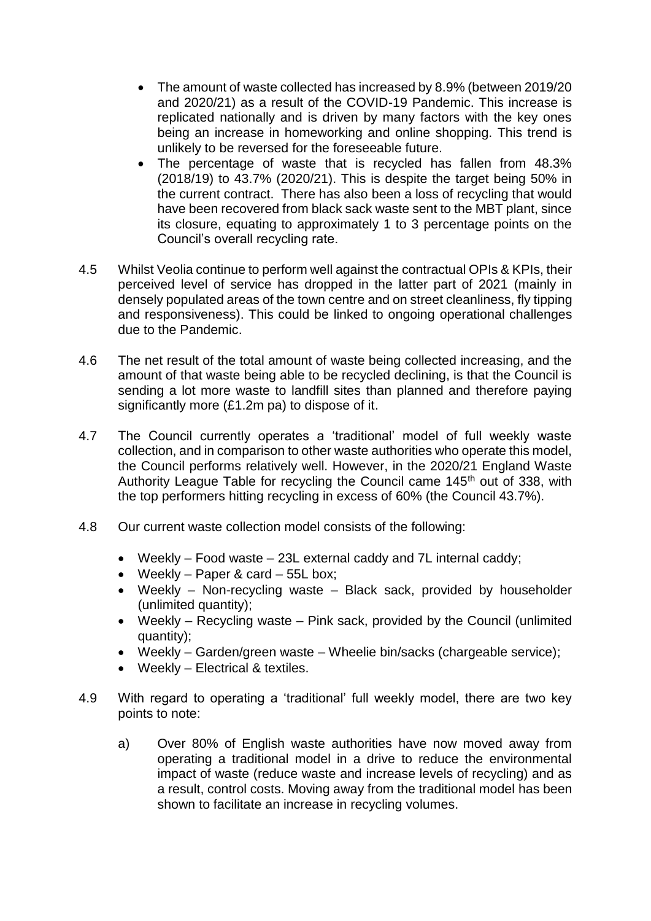- The amount of waste collected has increased by 8.9% (between 2019/20) and 2020/21) as a result of the COVID-19 Pandemic. This increase is replicated nationally and is driven by many factors with the key ones being an increase in homeworking and online shopping. This trend is unlikely to be reversed for the foreseeable future.
- The percentage of waste that is recycled has fallen from 48.3% (2018/19) to 43.7% (2020/21). This is despite the target being 50% in the current contract. There has also been a loss of recycling that would have been recovered from black sack waste sent to the MBT plant, since its closure, equating to approximately 1 to 3 percentage points on the Council's overall recycling rate.
- 4.5 Whilst Veolia continue to perform well against the contractual OPIs & KPIs, their perceived level of service has dropped in the latter part of 2021 (mainly in densely populated areas of the town centre and on street cleanliness, fly tipping and responsiveness). This could be linked to ongoing operational challenges due to the Pandemic.
- 4.6 The net result of the total amount of waste being collected increasing, and the amount of that waste being able to be recycled declining, is that the Council is sending a lot more waste to landfill sites than planned and therefore paying significantly more (£1.2m pa) to dispose of it.
- 4.7 The Council currently operates a 'traditional' model of full weekly waste collection, and in comparison to other waste authorities who operate this model, the Council performs relatively well. However, in the 2020/21 England Waste Authority League Table for recycling the Council came 145<sup>th</sup> out of 338, with the top performers hitting recycling in excess of 60% (the Council 43.7%).
- 4.8 Our current waste collection model consists of the following:
	- Weekly Food waste 23L external caddy and 7L internal caddy;
	- Weekly Paper & card  $55L$  box;
	- Weekly Non-recycling waste Black sack, provided by householder (unlimited quantity);
	- Weekly Recycling waste Pink sack, provided by the Council (unlimited quantity);
	- Weekly Garden/green waste Wheelie bin/sacks (chargeable service);
	- Weekly Electrical & textiles.
- 4.9 With regard to operating a 'traditional' full weekly model, there are two key points to note:
	- a) Over 80% of English waste authorities have now moved away from operating a traditional model in a drive to reduce the environmental impact of waste (reduce waste and increase levels of recycling) and as a result, control costs. Moving away from the traditional model has been shown to facilitate an increase in recycling volumes.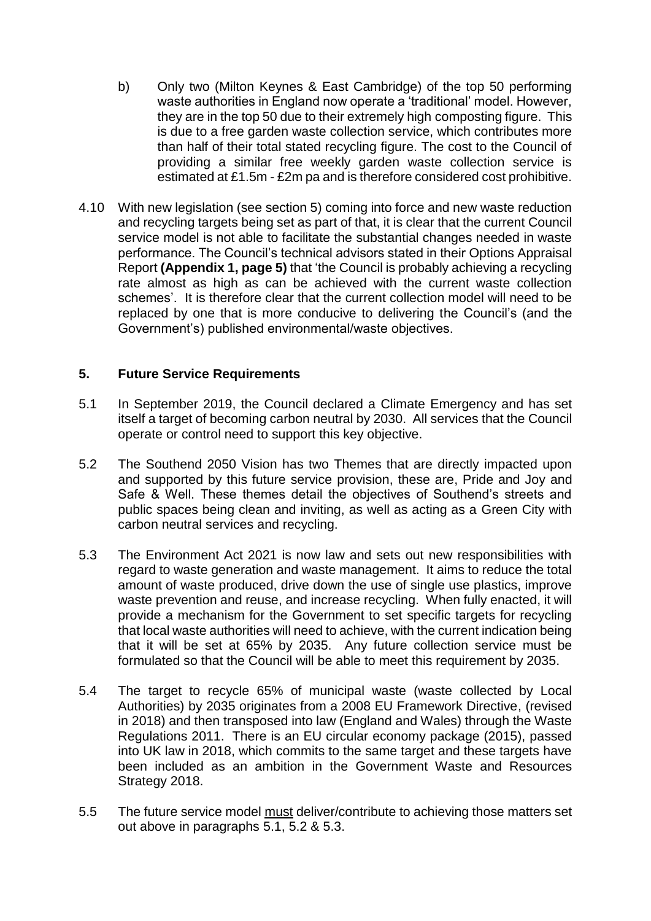- b) Only two (Milton Keynes & East Cambridge) of the top 50 performing waste authorities in England now operate a 'traditional' model. However, they are in the top 50 due to their extremely high composting figure. This is due to a free garden waste collection service, which contributes more than half of their total stated recycling figure. The cost to the Council of providing a similar free weekly garden waste collection service is estimated at £1.5m - £2m pa and is therefore considered cost prohibitive.
- 4.10 With new legislation (see section 5) coming into force and new waste reduction and recycling targets being set as part of that, it is clear that the current Council service model is not able to facilitate the substantial changes needed in waste performance. The Council's technical advisors stated in their Options Appraisal Report **(Appendix 1, page 5)** that 'the Council is probably achieving a recycling rate almost as high as can be achieved with the current waste collection schemes'. It is therefore clear that the current collection model will need to be replaced by one that is more conducive to delivering the Council's (and the Government's) published environmental/waste objectives.

## **5. Future Service Requirements**

- 5.1 In September 2019, the Council declared a Climate Emergency and has set itself a target of becoming carbon neutral by 2030. All services that the Council operate or control need to support this key objective.
- 5.2 The Southend 2050 Vision has two Themes that are directly impacted upon and supported by this future service provision, these are, Pride and Joy and Safe & Well. These themes detail the objectives of Southend's streets and public spaces being clean and inviting, as well as acting as a Green City with carbon neutral services and recycling.
- 5.3 The Environment Act 2021 is now law and sets out new responsibilities with regard to waste generation and waste management. It aims to reduce the total amount of waste produced, drive down the use of single use plastics, improve waste prevention and reuse, and increase recycling. When fully enacted, it will provide a mechanism for the Government to set specific targets for recycling that local waste authorities will need to achieve, with the current indication being that it will be set at 65% by 2035. Any future collection service must be formulated so that the Council will be able to meet this requirement by 2035.
- 5.4 The target to recycle 65% of municipal waste (waste collected by Local Authorities) by 2035 originates from a 2008 EU Framework Directive, (revised in 2018) and then transposed into law (England and Wales) through the Waste Regulations 2011. There is an EU circular economy package (2015), passed into UK law in 2018, which commits to the same target and these targets have been included as an ambition in the Government Waste and Resources Strategy 2018.
- 5.5 The future service model must deliver/contribute to achieving those matters set out above in paragraphs 5.1, 5.2 & 5.3.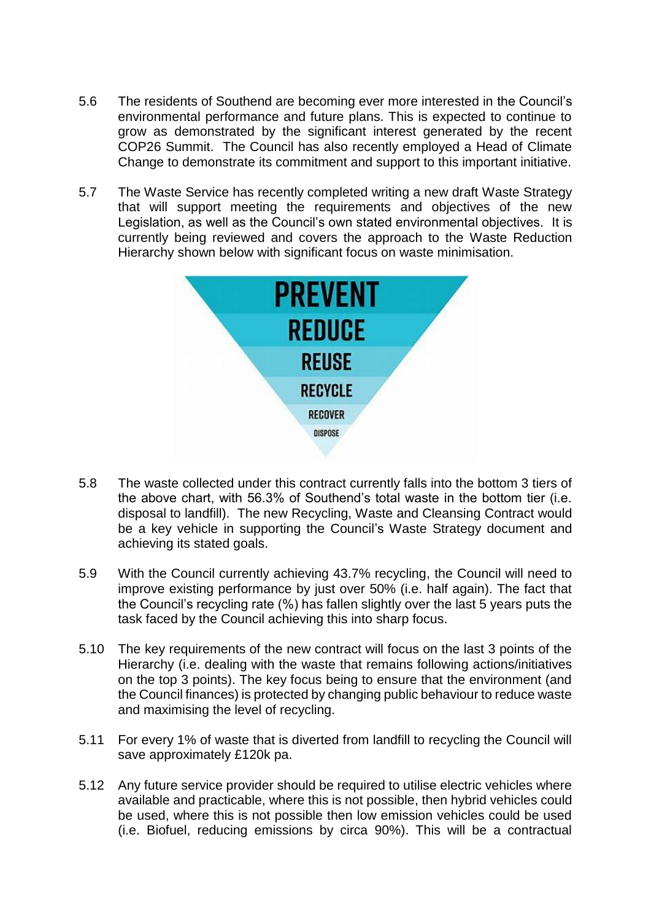- 5.6 The residents of Southend are becoming ever more interested in the Council's environmental performance and future plans. This is expected to continue to grow as demonstrated by the significant interest generated by the recent COP26 Summit. The Council has also recently employed a Head of Climate Change to demonstrate its commitment and support to this important initiative.
- 5.7 The Waste Service has recently completed writing a new draft Waste Strategy that will support meeting the requirements and objectives of the new Legislation, as well as the Council's own stated environmental objectives. It is currently being reviewed and covers the approach to the Waste Reduction Hierarchy shown below with significant focus on waste minimisation.



- 5.8 The waste collected under this contract currently falls into the bottom 3 tiers of the above chart, with 56.3% of Southend's total waste in the bottom tier (i.e. disposal to landfill). The new Recycling, Waste and Cleansing Contract would be a key vehicle in supporting the Council's Waste Strategy document and achieving its stated goals.
- 5.9 With the Council currently achieving 43.7% recycling, the Council will need to improve existing performance by just over 50% (i.e. half again). The fact that the Council's recycling rate (%) has fallen slightly over the last 5 years puts the task faced by the Council achieving this into sharp focus.
- 5.10 The key requirements of the new contract will focus on the last 3 points of the Hierarchy (i.e. dealing with the waste that remains following actions/initiatives on the top 3 points). The key focus being to ensure that the environment (and the Council finances) is protected by changing public behaviour to reduce waste and maximising the level of recycling.
- 5.11 For every 1% of waste that is diverted from landfill to recycling the Council will save approximately £120k pa.
- 5.12 Any future service provider should be required to utilise electric vehicles where available and practicable, where this is not possible, then hybrid vehicles could be used, where this is not possible then low emission vehicles could be used (i.e. Biofuel, reducing emissions by circa 90%). This will be a contractual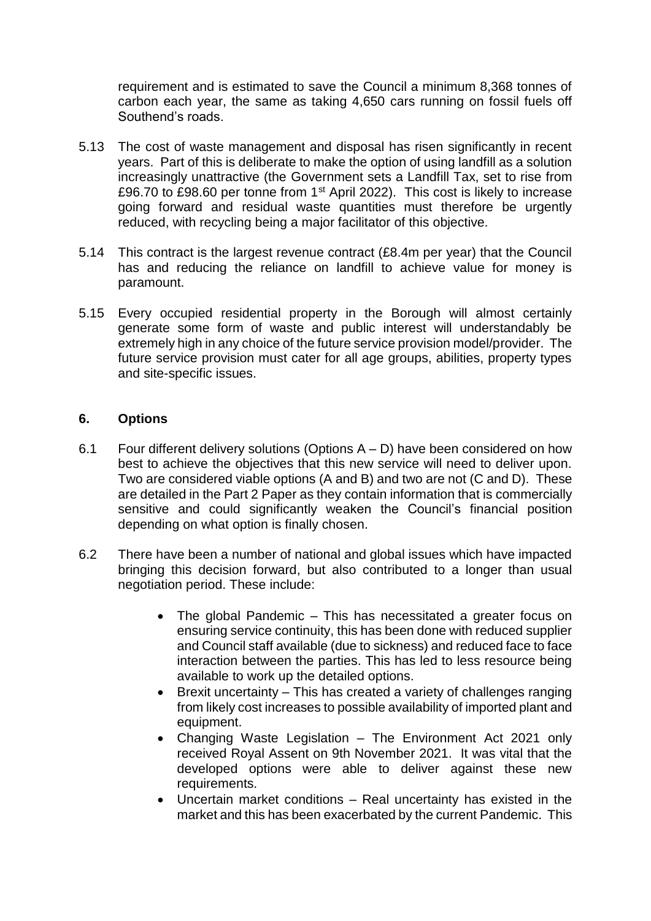requirement and is estimated to save the Council a minimum 8,368 tonnes of carbon each year, the same as taking 4,650 cars running on fossil fuels off Southend's roads.

- 5.13 The cost of waste management and disposal has risen significantly in recent years. Part of this is deliberate to make the option of using landfill as a solution increasingly unattractive (the Government sets a Landfill Tax, set to rise from £96.70 to £98.60 per tonne from 1st April 2022). This cost is likely to increase going forward and residual waste quantities must therefore be urgently reduced, with recycling being a major facilitator of this objective.
- 5.14 This contract is the largest revenue contract (£8.4m per year) that the Council has and reducing the reliance on landfill to achieve value for money is paramount.
- 5.15 Every occupied residential property in the Borough will almost certainly generate some form of waste and public interest will understandably be extremely high in any choice of the future service provision model/provider. The future service provision must cater for all age groups, abilities, property types and site-specific issues.

#### **6. Options**

- 6.1 Four different delivery solutions (Options  $A D$ ) have been considered on how best to achieve the objectives that this new service will need to deliver upon. Two are considered viable options (A and B) and two are not (C and D). These are detailed in the Part 2 Paper as they contain information that is commercially sensitive and could significantly weaken the Council's financial position depending on what option is finally chosen.
- 6.2 There have been a number of national and global issues which have impacted bringing this decision forward, but also contributed to a longer than usual negotiation period. These include:
	- The global Pandemic This has necessitated a greater focus on ensuring service continuity, this has been done with reduced supplier and Council staff available (due to sickness) and reduced face to face interaction between the parties. This has led to less resource being available to work up the detailed options.
	- Brexit uncertainty This has created a variety of challenges ranging from likely cost increases to possible availability of imported plant and equipment.
	- Changing Waste Legislation The Environment Act 2021 only received Royal Assent on 9th November 2021. It was vital that the developed options were able to deliver against these new requirements.
	- Uncertain market conditions Real uncertainty has existed in the market and this has been exacerbated by the current Pandemic. This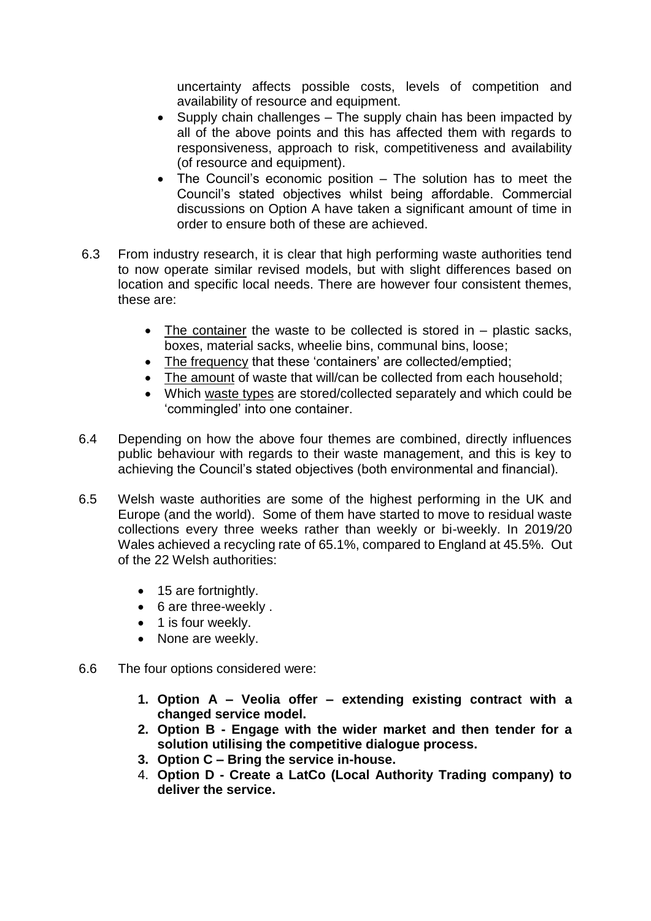uncertainty affects possible costs, levels of competition and availability of resource and equipment.

- Supply chain challenges The supply chain has been impacted by all of the above points and this has affected them with regards to responsiveness, approach to risk, competitiveness and availability (of resource and equipment).
- The Council's economic position The solution has to meet the Council's stated objectives whilst being affordable. Commercial discussions on Option A have taken a significant amount of time in order to ensure both of these are achieved.
- 6.3 From industry research, it is clear that high performing waste authorities tend to now operate similar revised models, but with slight differences based on location and specific local needs. There are however four consistent themes, these are:
	- $\bullet$  The container the waste to be collected is stored in  $-$  plastic sacks, boxes, material sacks, wheelie bins, communal bins, loose;
	- The frequency that these 'containers' are collected/emptied;
	- The amount of waste that will/can be collected from each household:
	- Which waste types are stored/collected separately and which could be 'commingled' into one container.
- 6.4 Depending on how the above four themes are combined, directly influences public behaviour with regards to their waste management, and this is key to achieving the Council's stated objectives (both environmental and financial).
- 6.5 Welsh waste authorities are some of the highest performing in the UK and Europe (and the world). Some of them have started to move to residual waste collections every three weeks rather than weekly or bi-weekly. In 2019/20 Wales achieved a recycling rate of 65.1%, compared to England at 45.5%. Out of the 22 Welsh authorities:
	- 15 are fortnightly.
	- 6 are three-weekly .
	- 1 is four weekly.
	- None are weekly.
- 6.6 The four options considered were:
	- **1. Option A – Veolia offer – extending existing contract with a changed service model.**
	- **2. Option B - Engage with the wider market and then tender for a solution utilising the competitive dialogue process.**
	- **3. Option C – Bring the service in-house.**
	- 4. **Option D - Create a LatCo (Local Authority Trading company) to deliver the service.**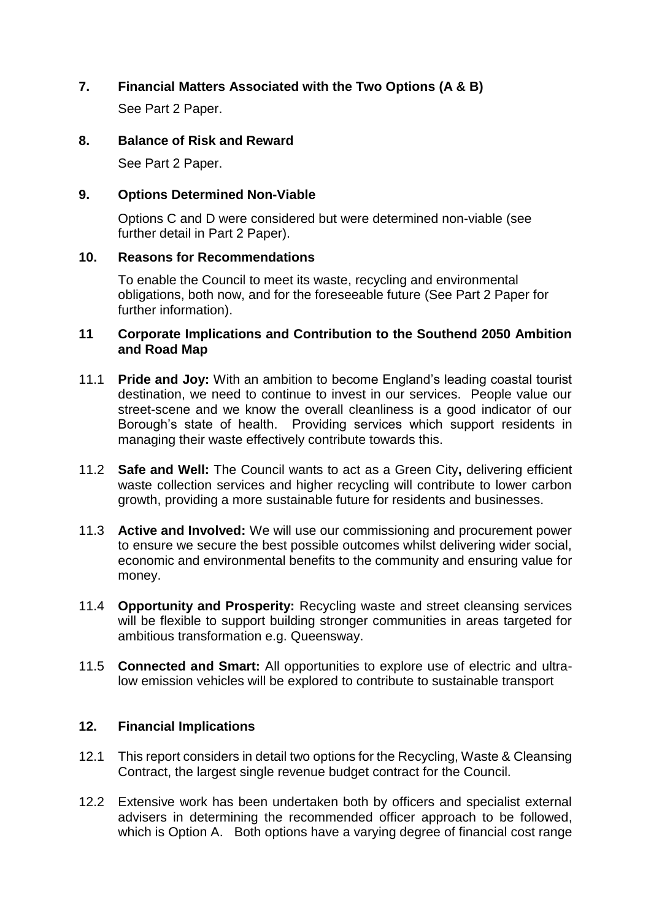# **7. Financial Matters Associated with the Two Options (A & B)**

See Part 2 Paper.

# **8. Balance of Risk and Reward**

See Part 2 Paper.

# **9. Options Determined Non-Viable**

Options C and D were considered but were determined non-viable (see further detail in Part 2 Paper).

# **10. Reasons for Recommendations**

To enable the Council to meet its waste, recycling and environmental obligations, both now, and for the foreseeable future (See Part 2 Paper for further information).

#### **11 Corporate Implications and Contribution to the Southend 2050 Ambition and Road Map**

- 11.1 **Pride and Joy:** With an ambition to become England's leading coastal tourist destination, we need to continue to invest in our services. People value our street-scene and we know the overall cleanliness is a good indicator of our Borough's state of health. Providing services which support residents in managing their waste effectively contribute towards this.
- 11.2 **Safe and Well:** The Council wants to act as a Green City**,** delivering efficient waste collection services and higher recycling will contribute to lower carbon growth, providing a more sustainable future for residents and businesses.
- 11.3 **Active and Involved:** We will use our commissioning and procurement power to ensure we secure the best possible outcomes whilst delivering wider social, economic and environmental benefits to the community and ensuring value for money.
- 11.4 **Opportunity and Prosperity:** Recycling waste and street cleansing services will be flexible to support building stronger communities in areas targeted for ambitious transformation e.g. Queensway.
- 11.5 **Connected and Smart:** All opportunities to explore use of electric and ultralow emission vehicles will be explored to contribute to sustainable transport

# **12. Financial Implications**

- 12.1 This report considers in detail two options for the Recycling, Waste & Cleansing Contract, the largest single revenue budget contract for the Council.
- 12.2 Extensive work has been undertaken both by officers and specialist external advisers in determining the recommended officer approach to be followed, which is Option A. Both options have a varying degree of financial cost range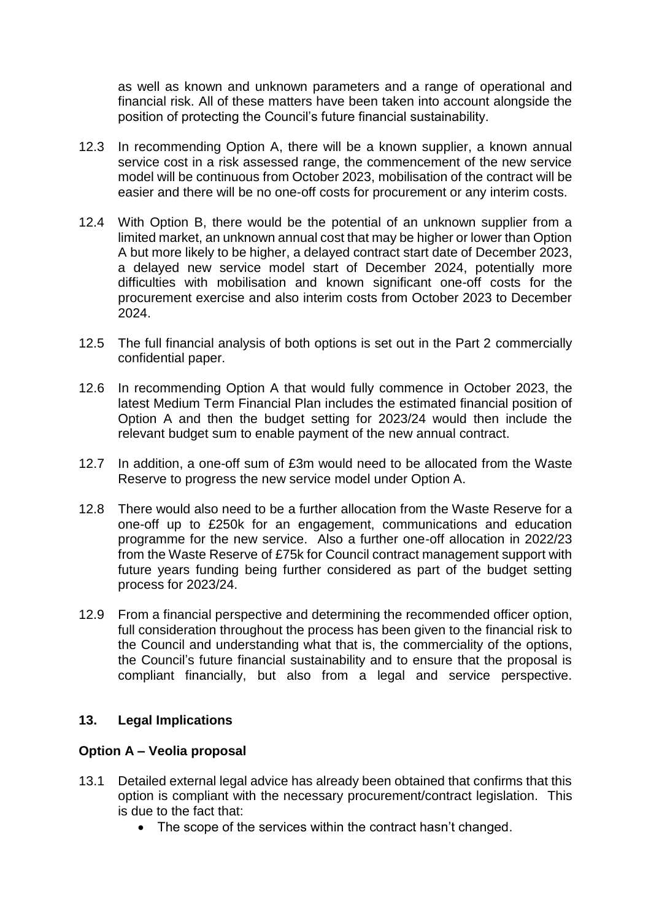as well as known and unknown parameters and a range of operational and financial risk. All of these matters have been taken into account alongside the position of protecting the Council's future financial sustainability.

- 12.3 In recommending Option A, there will be a known supplier, a known annual service cost in a risk assessed range, the commencement of the new service model will be continuous from October 2023, mobilisation of the contract will be easier and there will be no one-off costs for procurement or any interim costs.
- 12.4 With Option B, there would be the potential of an unknown supplier from a limited market, an unknown annual cost that may be higher or lower than Option A but more likely to be higher, a delayed contract start date of December 2023, a delayed new service model start of December 2024, potentially more difficulties with mobilisation and known significant one-off costs for the procurement exercise and also interim costs from October 2023 to December 2024.
- 12.5 The full financial analysis of both options is set out in the Part 2 commercially confidential paper.
- 12.6 In recommending Option A that would fully commence in October 2023, the latest Medium Term Financial Plan includes the estimated financial position of Option A and then the budget setting for 2023/24 would then include the relevant budget sum to enable payment of the new annual contract.
- 12.7 In addition, a one-off sum of £3m would need to be allocated from the Waste Reserve to progress the new service model under Option A.
- 12.8 There would also need to be a further allocation from the Waste Reserve for a one-off up to £250k for an engagement, communications and education programme for the new service. Also a further one-off allocation in 2022/23 from the Waste Reserve of £75k for Council contract management support with future years funding being further considered as part of the budget setting process for 2023/24.
- 12.9 From a financial perspective and determining the recommended officer option, full consideration throughout the process has been given to the financial risk to the Council and understanding what that is, the commerciality of the options, the Council's future financial sustainability and to ensure that the proposal is compliant financially, but also from a legal and service perspective.

#### **13. Legal Implications**

#### **Option A – Veolia proposal**

- 13.1 Detailed external legal advice has already been obtained that confirms that this option is compliant with the necessary procurement/contract legislation. This is due to the fact that:
	- The scope of the services within the contract hasn't changed.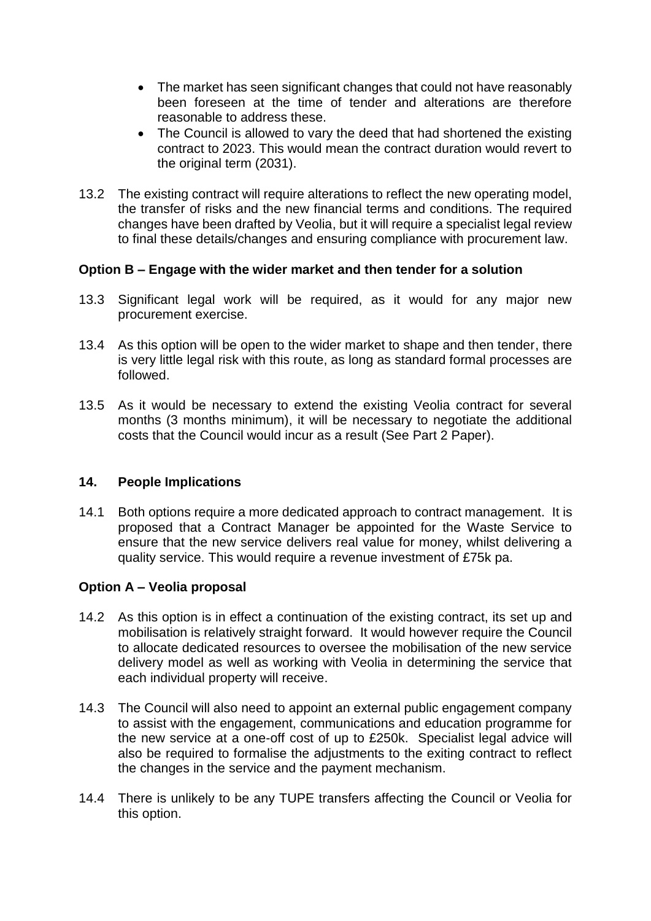- The market has seen significant changes that could not have reasonably been foreseen at the time of tender and alterations are therefore reasonable to address these.
- The Council is allowed to vary the deed that had shortened the existing contract to 2023. This would mean the contract duration would revert to the original term (2031).
- 13.2 The existing contract will require alterations to reflect the new operating model, the transfer of risks and the new financial terms and conditions. The required changes have been drafted by Veolia, but it will require a specialist legal review to final these details/changes and ensuring compliance with procurement law.

#### **Option B – Engage with the wider market and then tender for a solution**

- 13.3 Significant legal work will be required, as it would for any major new procurement exercise.
- 13.4 As this option will be open to the wider market to shape and then tender, there is very little legal risk with this route, as long as standard formal processes are followed.
- 13.5 As it would be necessary to extend the existing Veolia contract for several months (3 months minimum), it will be necessary to negotiate the additional costs that the Council would incur as a result (See Part 2 Paper).

#### **14. People Implications**

14.1 Both options require a more dedicated approach to contract management. It is proposed that a Contract Manager be appointed for the Waste Service to ensure that the new service delivers real value for money, whilst delivering a quality service. This would require a revenue investment of £75k pa.

#### **Option A – Veolia proposal**

- 14.2 As this option is in effect a continuation of the existing contract, its set up and mobilisation is relatively straight forward. It would however require the Council to allocate dedicated resources to oversee the mobilisation of the new service delivery model as well as working with Veolia in determining the service that each individual property will receive.
- 14.3 The Council will also need to appoint an external public engagement company to assist with the engagement, communications and education programme for the new service at a one-off cost of up to £250k. Specialist legal advice will also be required to formalise the adjustments to the exiting contract to reflect the changes in the service and the payment mechanism.
- 14.4 There is unlikely to be any TUPE transfers affecting the Council or Veolia for this option.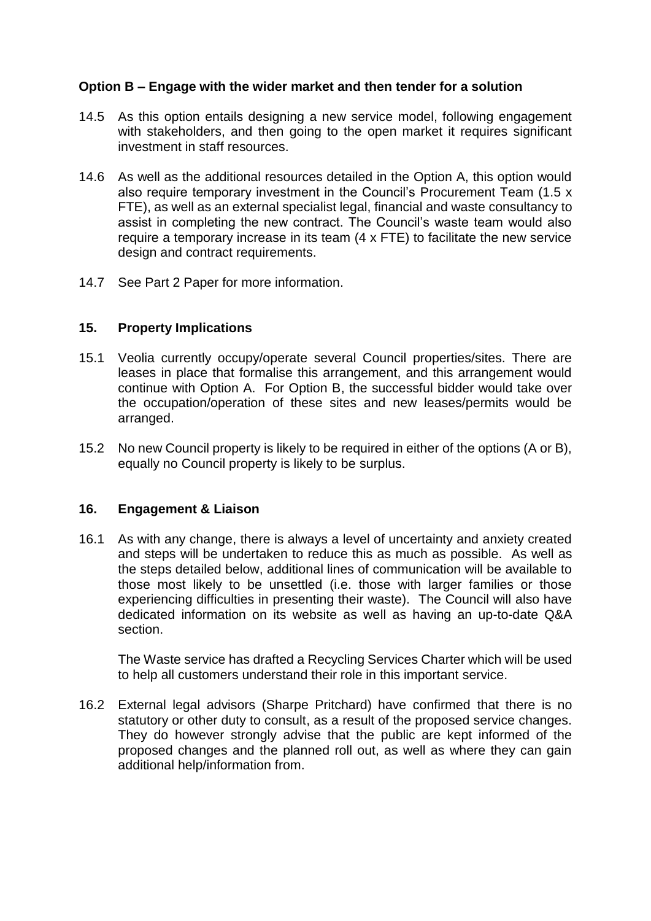# **Option B – Engage with the wider market and then tender for a solution**

- 14.5 As this option entails designing a new service model, following engagement with stakeholders, and then going to the open market it requires significant investment in staff resources.
- 14.6 As well as the additional resources detailed in the Option A, this option would also require temporary investment in the Council's Procurement Team (1.5 x FTE), as well as an external specialist legal, financial and waste consultancy to assist in completing the new contract. The Council's waste team would also require a temporary increase in its team (4 x FTE) to facilitate the new service design and contract requirements.
- 14.7 See Part 2 Paper for more information.

#### **15. Property Implications**

- 15.1 Veolia currently occupy/operate several Council properties/sites. There are leases in place that formalise this arrangement, and this arrangement would continue with Option A. For Option B, the successful bidder would take over the occupation/operation of these sites and new leases/permits would be arranged.
- 15.2 No new Council property is likely to be required in either of the options (A or B), equally no Council property is likely to be surplus.

#### **16. Engagement & Liaison**

16.1 As with any change, there is always a level of uncertainty and anxiety created and steps will be undertaken to reduce this as much as possible. As well as the steps detailed below, additional lines of communication will be available to those most likely to be unsettled (i.e. those with larger families or those experiencing difficulties in presenting their waste). The Council will also have dedicated information on its website as well as having an up-to-date Q&A section.

The Waste service has drafted a Recycling Services Charter which will be used to help all customers understand their role in this important service.

16.2 External legal advisors (Sharpe Pritchard) have confirmed that there is no statutory or other duty to consult, as a result of the proposed service changes. They do however strongly advise that the public are kept informed of the proposed changes and the planned roll out, as well as where they can gain additional help/information from.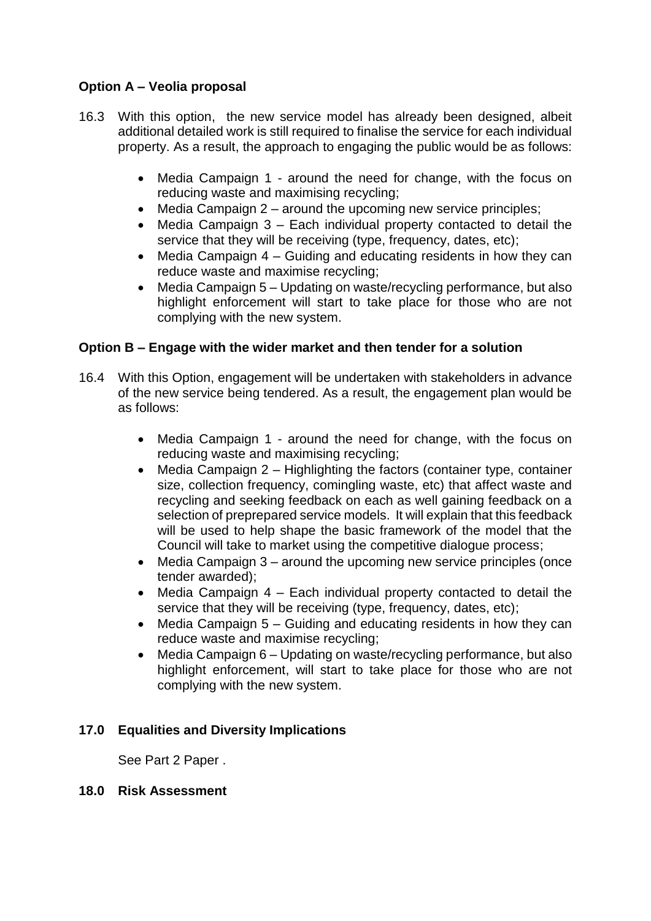# **Option A – Veolia proposal**

- 16.3 With this option, the new service model has already been designed, albeit additional detailed work is still required to finalise the service for each individual property. As a result, the approach to engaging the public would be as follows:
	- Media Campaign 1 around the need for change, with the focus on reducing waste and maximising recycling;
	- $\bullet$  Media Campaign 2 around the upcoming new service principles;
	- Media Campaign 3 Each individual property contacted to detail the service that they will be receiving (type, frequency, dates, etc);
	- Media Campaign 4 Guiding and educating residents in how they can reduce waste and maximise recycling;
	- Media Campaign 5 Updating on waste/recycling performance, but also highlight enforcement will start to take place for those who are not complying with the new system.

# **Option B – Engage with the wider market and then tender for a solution**

- 16.4 With this Option, engagement will be undertaken with stakeholders in advance of the new service being tendered. As a result, the engagement plan would be as follows:
	- Media Campaign 1 around the need for change, with the focus on reducing waste and maximising recycling;
	- Media Campaign 2 Highlighting the factors (container type, container size, collection frequency, comingling waste, etc) that affect waste and recycling and seeking feedback on each as well gaining feedback on a selection of preprepared service models. It will explain that this feedback will be used to help shape the basic framework of the model that the Council will take to market using the competitive dialogue process;
	- Media Campaign 3 around the upcoming new service principles (once tender awarded);
	- Media Campaign 4 Each individual property contacted to detail the service that they will be receiving (type, frequency, dates, etc);
	- Media Campaign 5 Guiding and educating residents in how they can reduce waste and maximise recycling;
	- Media Campaign 6 Updating on waste/recycling performance, but also highlight enforcement, will start to take place for those who are not complying with the new system.

# **17.0 Equalities and Diversity Implications**

See Part 2 Paper .

#### **18.0 Risk Assessment**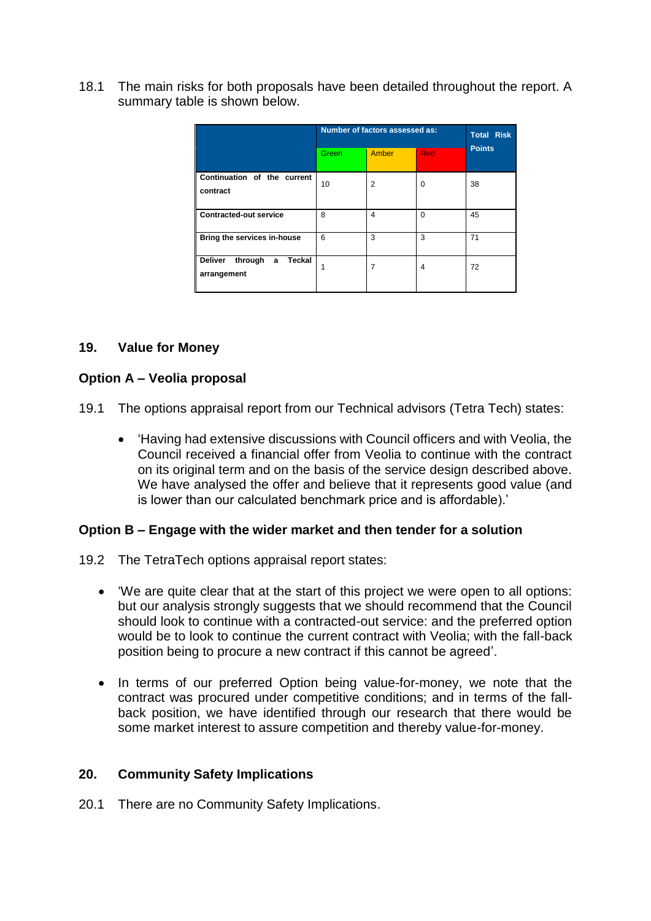18.1 The main risks for both proposals have been detailed throughout the report. A summary table is shown below.

|                                                         | Number of factors assessed as: |                |            | <b>Total Risk</b> |
|---------------------------------------------------------|--------------------------------|----------------|------------|-------------------|
|                                                         | Green                          | <b>Amber</b>   | <b>Red</b> | <b>Points</b>     |
| Continuation of the current<br>contract                 | 10                             | $\overline{2}$ | $\Omega$   | 38                |
| <b>Contracted-out service</b>                           | 8                              | 4              | $\Omega$   | 45                |
| Bring the services in-house                             | 6                              | 3              | 3          | 71                |
| <b>Deliver</b><br>Teckal<br>through<br>a<br>arrangement |                                | 7              | 4          | 72                |

## **19. Value for Money**

## **Option A – Veolia proposal**

- 19.1 The options appraisal report from our Technical advisors (Tetra Tech) states:
	- 'Having had extensive discussions with Council officers and with Veolia, the Council received a financial offer from Veolia to continue with the contract on its original term and on the basis of the service design described above. We have analysed the offer and believe that it represents good value (and is lower than our calculated benchmark price and is affordable).'

#### **Option B – Engage with the wider market and then tender for a solution**

- 19.2 The TetraTech options appraisal report states:
	- 'We are quite clear that at the start of this project we were open to all options: but our analysis strongly suggests that we should recommend that the Council should look to continue with a contracted-out service: and the preferred option would be to look to continue the current contract with Veolia; with the fall-back position being to procure a new contract if this cannot be agreed'.
	- In terms of our preferred Option being value-for-money, we note that the contract was procured under competitive conditions; and in terms of the fallback position, we have identified through our research that there would be some market interest to assure competition and thereby value-for-money.

#### **20. Community Safety Implications**

20.1 There are no Community Safety Implications.